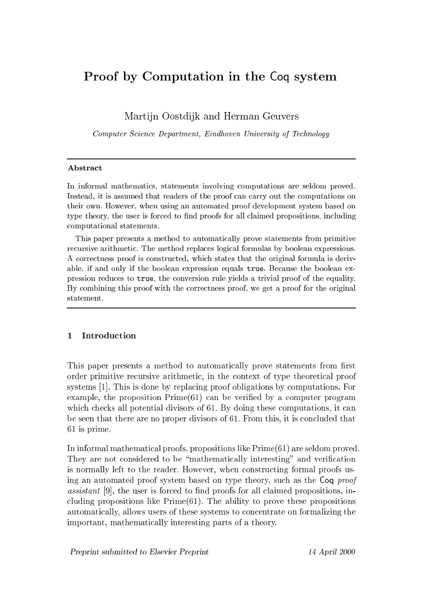# Proof by Computation in the Coq system

Martijn Oostdijk and Herman Geuvers

Computer Science Department, Eindhoven University of Technology

### **Abstract**

In informal mathemati
s, statements involving omputations are seldom proved. Instead, it is assumed that readers of the proof can carry out the computations on their own. However, when using an automated proof development system based on type theory, the user is forced to find proofs for all claimed propositions, including omputational statements.

This paper presents a method to automati
ally prove statements from primitive recursive arithmetic. The method replaces logical formulas by boolean expressions. A orre
tness proof is onstru
ted, whi
h states that the original formula is derivable, if and only if the boolean expression equals true. Be
ause the boolean expression redu
es to true, the onversion rule yields a trivial proof of the equality. By combining this proof with the correctness proof, we get a proof for the original statement.

# 1 Introduction

This paper presents a method to automatically prove statements from first order primitive re
ursive arithmeti
, in the ontext of type theoreti
al proof systems  $[1]$ . This is done by replacing proof obligations by computations. For example, the proposition  $Prime(61)$  can be verified by a computer program which checks all potential divisors of 61. By doing these computations, it can be seen that there are no proper divisors of 61. From this, it is concluded that 61 is prime.

In informal mathemati
al proofs, propositions like Prime(61) are seldom proved. They are not considered to be "mathematically interesting" and verification is normally left to the reader. However, when onstru
ting formal proofs using an automated proof system based on type theory, such as the Coq proof assistant [9], the user is forced to find proofs for all claimed propositions, including propositions like  $Prime(61)$ . The ability to prove these propositions automati
ally, allows users of these systems to on
entrate on formalizing the important, mathemati
ally interesting parts of a theory.

Preprint submitted to Elsevier Preprint 14 April 2000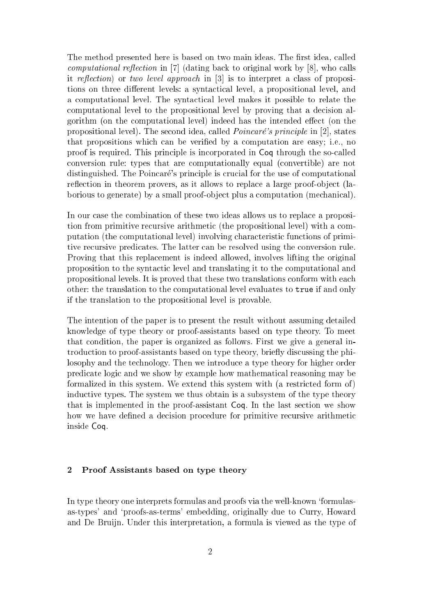The method presented here is based on two main ideas. The first idea, called computational reflection in [7] (dating back to original work by  $[8]$ , who calls it reflection) or two level approach in  $[3]$  is to interpret a class of propositions on three different levels: a syntactical level, a propositional level, and a computational level. The syntactical level makes it possible to relate the omputational level to the propositional level by proving that a de
ision algorithm (on the computational level) indeed has the intended effect (on the propositional level). The second idea, called *Poincaré's principle* in [2], states that propositions which can be verified by a computation are easy; i.e., no proof is required. This principle is incorporated in Coq through the so-called onversion rule: types that are omputationally equal (
onvertible) are not distinguished. The Poincaré's principle is crucial for the use of computational reflection in theorem provers, as it allows to replace a large proof-object (laborious to generate) by a small proof-object plus a computation (mechanical).

In our case the combination of these two ideas allows us to replace a proposition from primitive recursive arithmetic (the propositional level) with a computation (the computational level) involving characteristic functions of primitive re
ursive predi
ates. The latter an be resolved using the onversion rule. Proving that this repla
ement is indeed allowed, involves lifting the original proposition to the synta
ti level and translating it to the omputational and propositional levels. It is proved that these two translations onform with ea
h other: the translation to the omputational level evaluates to true if and only if the translation to the propositional level is provable.

The intention of the paper is to present the result without assuming detailed knowledge of type theory or proof-assistants based on type theory. To meet that ondition, the paper is organized as follows. First we give a general introduction to proof-assistants based on type theory, briefly discussing the philosophy and the te
hnology. Then we introdu
e a type theory for higher order predi
ate logi and we show by example how mathemati
al reasoning may be formalized in this system. We extend this system with (a restricted form of) indu
tive types. The system we thus obtain is a subsystem of the type theory that is implemented in the proof-assistant Coq. In the last section we show how we have defined a decision procedure for primitive recursive arithmetic inside Coq.

## 2 Proof Assistants based on type theory

In type theory one interprets formulas and proofs via the well-known `formulasas-types' and `proofs-as-terms' embedding, originally due to Curry, Howard and De Bruijn. Under this interpretation, a formula is viewed as the type of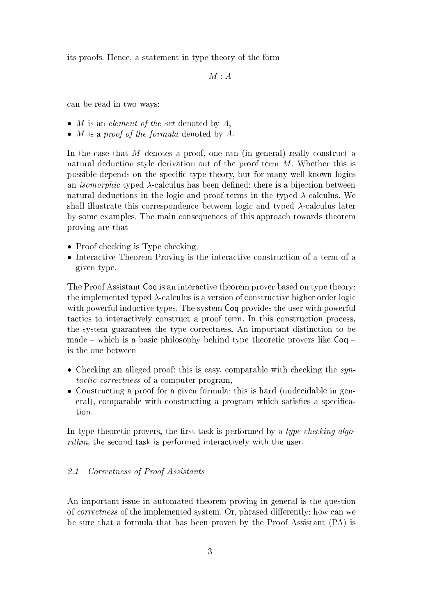its proofs. Hen
e, a statement in type theory of the form

 $M : A$ 

an be read in two ways:

- $\bullet$  *M* is an *element of the set* denoted by  $A$ ,
- $\bullet$  *M* is a *proof of the formula* denoted by A.

In the case that M denotes a proof, one can (in general) really construct a natural deduction style derivation out of the proof term M. Whether this is possible depends on the specific type theory, but for many well-known logics an *isomorphic* typed  $\lambda$ -calculus has been defined: there is a bijection between natural deductions in the logic and proof terms in the typed  $\lambda$ -calculus. We shall illustrate this correspondence between logic and typed  $\lambda$ -calculus later by some examples. The main onsequen
es of this approa
h towards theorem proving are that

- Proof checking is Type checking.
- Interactive Theorem Proving is the interactive construction of a term of a given type.

The Proof Assistant Coq is an interactive theorem prover based on type theory: the implemented typed  $\lambda$ -calculus is a version of constructive higher order logic with powerful inductive types. The system Coq provides the user with powerful tactics to interactively construct a proof term. In this construction process, the system guarantees the type orre
tness. An important distin
tion to be made  $-$  which is a basic philosophy behind type theoretic provers like  $Coq$ is the one between

- Checking an alleged proof: this is easy, comparable with checking the syntactic correctness of a computer program,
- Constructing a proof for a given formula: this is hard (undecidable in general), comparable with constructing a program which satisfies a specification.

In type theoretic provers, the first task is performed by a type checking algorithm, the second task is performed interactively with the user.

#### 2.1 Correctness of Proof Assistants

An important issue in automated theorem proving in general is the question of *correctness* of the implemented system. Or, phrased differently: how can we be sure that a formula that has been proven by the Proof Assistant (PA) is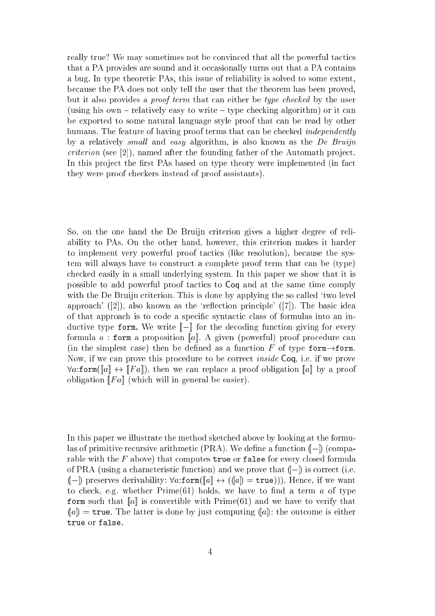really true? We may sometimes not be convinced that all the powerful tactics that a PA provides are sound and it occasionally turns out that a PA contains a bug. In type theoreti PAs, this issue of reliability is solved to some extent, be
ause the PA does not only tell the user that the theorem has been proved, but it also provides a *proof term* that can either be *type checked* by the user (using his own  $-$  relatively easy to write  $-$  type checking algorithm) or it can be exported to some natural language style proof that an be read by other humans. The feature of having proof terms that can be checked *independently* by a relatively small and easy algorithm, is also known as the  $De Bruijn$  $criterion$  (see [2]), named after the founding father of the Automath project. In this project the first PAs based on type theory were implemented (in fact they were proof he
kers instead of proof assistants).

So, on the one hand the De Bruijn criterion gives a higher degree of reliability to PAs. On the other hand, however, this criterion makes it harder to implement very powerful proof tactics (like resolution), because the system will always have to onstru
t a omplete proof term that an be (type) checked easily in a small underlying system. In this paper we show that it is possible to add powerful proof tactics to Coq and at the same time comply with the De Bruijn criterion. This is done by applying the so called 'two level approach'  $(2)$ , also known as the 'reflection principle'  $(7)$ . The basic idea of that approach is to code a specific syntactic class of formulas into an inductive type form. We write  $\llbracket - \rrbracket$  for the decoding function giving for every formula a : form a proposition [a]. A given (powerful) proof procedure can (in the simplest case) then be defined as a function F of type form $\rightarrow$ form. Now, if we can prove this procedure to be correct *inside* Coq, i.e. if we prove  $\forall a$ :form([a]  $\leftrightarrow$  [Fa]), then we can replace a proof obligation [a] by a proof obligation  $\llbracket Fa \rrbracket$  (which will in general be easier).

In this paper we illustrate the method sket
hed above by looking at the formulas of primitive recursive arithmetic (PRA). We define a function  $(I)$  (comparable with the  $F$  above) that computes true or false for every closed formula of PRA (using a characteristic function) and we prove that  $(-)$  is correct (i.e.  $([-])$  preserves derivability:  $\forall a$ :form( $[a] \leftrightarrow (([a]) = \text{true})$ )). Hence, if we want to check, e.g. whether  $Prime(61)$  holds, we have to find a term a of type form such that  $\llbracket a \rrbracket$  is convertible with Prime(61) and we have to verify that  $(a)$  = true. The latter is done by just computing  $(a)$ : the outcome is either true or false.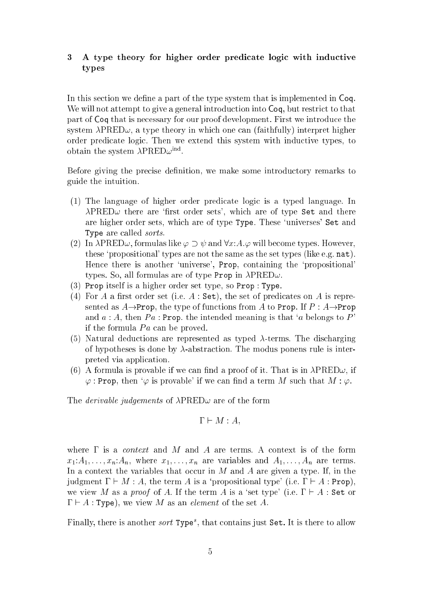# 3 A type theory for higher order predicate logic with inductive types

In this section we define a part of the type system that is implemented in Coq. We will not attempt to give a general introduction into  $\mathsf{Coq}$ , but restrict to that part of Coq that is ne
essary for our proof development. First we introdu
e the system  $\lambda$ PRED $\omega$ , a type theory in which one can (faithfully) interpret higher order predicate logic. Then we extend this system with inductive types, to obtain the system  $\lambda$ r red $\omega$ ....

Before giving the precise definition, we make some introductory remarks to guide the intuition.

- $(1)$  The language of higher order predicate logic is a typed language. In  $\lambda$ PRED $\omega$  there are 'first order sets', which are of type Set and there are higher order sets, whi
h are of type Type. These `universes' Set and Type are called *sorts*.
- (2) In  $\lambda$ PRED $\omega$ , formulas like  $\varphi \supset \psi$  and  $\forall x:A.\varphi$  will become types. However, these 'propositional' types are not the same as the set types (like e.g.  $nat$ ). Hence there is another 'universe', **Prop**, containing the 'propositional' types. So, all formulas are of type Prop in  $\lambda$ PRED $\omega$ .
- (3) Prop itself is a higher order set type, so Prop : Type.
- (4) For A a first order set (i.e.  $A:$  Set), the set of predicates on A is represented as  $A\rightarrow$ Prop, the type of functions from A to Prop. If  $P : A\rightarrow$ Prop and  $a : A$ , then  $Pa : \text{Prop.}$  the intended meaning is that 'a belongs to P' if the formula  $Pa$  can be proved.
- (5) Natural deductions are represented as typed  $\lambda$ -terms. The discharging of hypotheses is done by  $\lambda$ -abstraction. The modus ponens rule is interpreted via appli
ation.
- (6) A formula is provable if we can find a proof of it. That is in  $\lambda$ PRED $\omega$ , if  $\varphi$ : Prop, then ' $\varphi$  is provable' if we can find a term M such that  $M : \varphi$ .

The *derivable judgements* of  $\lambda$ PRED $\omega$  are of the form

$$
\Gamma \vdash M : A,
$$

where  $\Gamma$  is a *context* and M and A are terms. A context is of the form  $x_1:A_1,\ldots,x_n:A_n$ , where  $x_1,\ldots,x_n$  are variables and  $A_1,\ldots,A_n$  are terms. In a context the variables that occur in M and A are given a type. If, in the judgment  $\Gamma \vdash M : A$ , the term A is a 'propositional type' (i.e.  $\Gamma \vdash A : \text{Prop}$ ), we view M as a proof of A. If the term A is a 'set type' (i.e.  $\Gamma \vdash A$  : Set or  $\Gamma \vdash A :$  Type), we view M as an *element* of the set A.

Finally, there is another *sort* Type<sup>s</sup>, that contains just Set. It is there to allow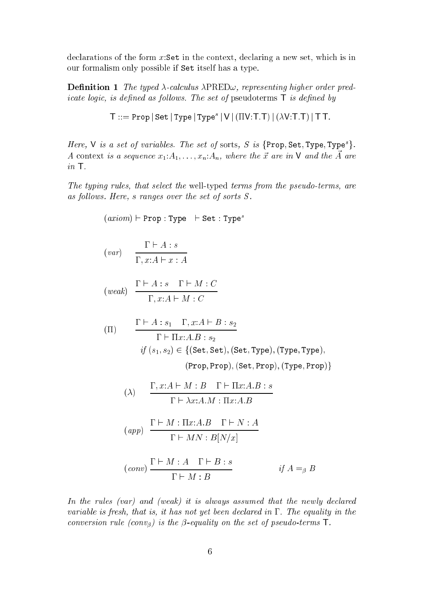declarations of the form x:Set in the context, declaring a new set, which is in our formalism only possible if Set itself has a type.

**Definition 1** The typed  $\lambda$ -calculus  $\lambda$ PRED $\omega$ , representing higher order pred*icate logic, is defined as follows. The set of pseudoterms*  $\mathsf{T}$  *is defined by* 

$$
\mathsf{T} ::= \texttt{Prop} | \, \texttt{Set} \, | \, \texttt{Type} \, | \, \texttt{Type}^s \, | \, \texttt{V} \, | \, (\Pi \texttt{V} : \texttt{T} . \texttt{T}) \, | \, (\lambda \texttt{V} : \texttt{T} . \texttt{T}) \, | \, \texttt{T} \, \texttt{T}.
$$

Here, V is a set of variables. The set of sorts, S is  $\{Prop, Set, Type, Type^s\}$ . A context is a sequence  $x_1:A_1,\ldots,x_n:A_n$ , where the  $\vec{x}$  are in **V** and the  $\vec{A}$  are in T.

The typing rules, that select the well-typed terms from the pseudo-terms, are as follows. Here, s ranges over the set of sorts  $S$ .

$$
(axiom) \vdash Prop : Type \vdash Set : Types
$$
\n
$$
(var) \quad \frac{\Gamma \vdash A : s}{\Gamma, x:A \vdash x:A}
$$
\n
$$
(weak) \quad \frac{\Gamma \vdash A : s \quad \Gamma \vdash M : C}{\Gamma, x:A \vdash M : C}
$$
\n
$$
\Pi) \quad \frac{\Gamma \vdash A : s_1 \quad \Gamma, x:A \vdash B : s_2}{\Gamma \vdash \Pi x:A.B : s_2}
$$
\n
$$
if (s_1, s_2) \in \{(\text{Set}, \text{Set}), (\text{Set}, \text{Type}), (\text{Type}, \text{Type})\}, (\text{Prop})\} \quad (\text{Prop}, \text{Prop}), (\text{Exp}, \text{Prop})\}
$$
\n
$$
(\lambda) \quad \frac{\Gamma, x:A \vdash M : B \quad \Gamma \vdash \Pi x:A.B : s}{\Gamma \vdash \lambda x:A.M : \Pi x:A.B}
$$
\n
$$
(app) \quad \frac{\Gamma \vdash M : \Pi x:A.B \quad \Gamma \vdash N : A}{\Gamma \vdash MN : B[N/x]}
$$
\n
$$
(conv) \quad \frac{\Gamma \vdash M : A \quad \Gamma \vdash B : s}{\Gamma \vdash M : B} \qquad if A =_{\beta} B
$$

In the rules (var) and (weak) it is always assumed that the newly declared variable is fresh, that is, it has not yet been declared in  $\Gamma$ . The equality in the conversion rule (conv<sub>B</sub>) is the  $\beta$ -equality on the set of pseudo-terms **T**.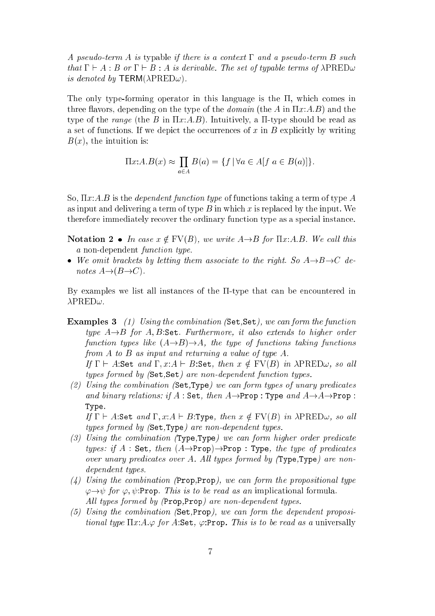A pseudo-term A is typable if there is a context  $\Gamma$  and a pseudo-term B such that  $\Gamma \vdash A : B$  or  $\Gamma \vdash B : A$  is derivable. The set of typable terms of  $\lambda$ PRED $\omega$ is denoted by TERM( $\lambda$ PRED $\omega$ ).

The only type-forming operator in this language is the  $\Pi$ , which comes in three flavors, depending on the type of the *domain* (the A in  $\Pi x:A.B$ ) and the type of the range (the B in  $\Pi x:A.B$ ). Intuitively, a  $\Pi$ -type should be read as a set of functions. If we depict the occurrences of x in B explicitly by writing  $B(x)$ , the intuition is:

$$
\Pi x:A.B(x) \approx \prod_{a \in A} B(a) = \{ f \mid \forall a \in A[f \ a \in B(a)] \}.
$$

So,  $\Pi x:A.B$  is the *dependent function type* of functions taking a term of type A as input and delivering a term of type  $B$  in which x is replaced by the input. We therefore immediately recover the ordinary function type as a special instance.

Notation 2 • In case  $x \notin FV(B)$ , we write  $A \rightarrow B$  for  $\Pi x:A.B.$  We call this a non-dependent *function type*.

• We omit brackets by letting them associate to the right. So  $A \rightarrow B \rightarrow C$  denotes  $A \rightarrow (B \rightarrow C)$ .

By examples we list all instances of the  $\Pi$ -type that can be encountered in  $\lambda$ PRED $\omega$ .

- Examples 3 (1) Using the combination (Set, Set), we can form the function type  $A \rightarrow B$  for A, B:Set. Furthermore, it also extends to higher order function types like  $(A\rightarrow B)\rightarrow A$ , the type of functions taking functions from A to B as input and returning a value of type A. If  $\Gamma \vdash A$ :Set and  $\Gamma, x:A \vdash B$ :Set, then  $x \notin FV(B)$  in  $\lambda$ PRED $\omega$ , so all
- types formed by (Set, Set) are non-dependent function types. (2) Using the ombination (Set,Type) we an form types of unary predi
ates
- and binary relations: if  $A$ : Set, then  $A \rightarrow$ Prop : Type and  $A \rightarrow A \rightarrow$ Prop : Type.

If  $\Gamma \vdash A$ :Set and  $\Gamma, x:A \vdash B$ :Type, then  $x \notin FV(B)$  in  $\lambda$ PRED $\omega$ , so all types formed by (Set,Type) are non-dependent types.

- (3) Using the combination (Type,Type) we can form higher order predicate types: if A : Set, then  $(A \rightarrow Prop) \rightarrow Prop$ : Type, the type of predicates over unary predicates over A. All types formed by  $(Type, Type)$  are nondependent types.
- $(4)$  Using the combination (Prop, Prop), we can form the propositional type  $\varphi \rightarrow \psi$  for  $\varphi, \psi$ :Prop. This is to be read as an implicational formula. All types formed by (Prop, Prop) are non-dependent types.
- (5) Using the ombination (Set,Prop), we an form the dependent propositional type  $\Pi x:A.\varphi$  for A:Set,  $\varphi$ :Prop. This is to be read as a universally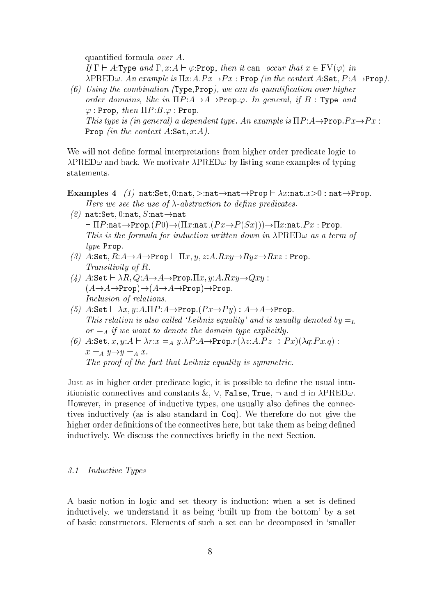quantied formula over A. If  $\Gamma \vdash A$ :Type and  $\Gamma$ ,  $x:A \vdash \varphi$ :Prop, then it can occur that  $x \in \mathrm{FV}(\varphi)$  in  $\lambda$ PRED $\omega$ . An example is  $\Pi x:A.Px \rightarrow Px$ : Prop (in the context A:Set, P:A $\rightarrow$ Prop). (6) Using the combination (Type, Prop), we can do quantification over higher

order domains, like in  $\Pi P:A \rightarrow A \rightarrow Prop.\varphi$ . In general, if B : Type and  $\varphi$ : Prop, then  $\Pi P:B.\varphi:$  Prop. This type is (in general) a dependent type. An example is  $\Pi P : A \rightarrow \text{Prop}.P x \rightarrow P x$ : Prop (in the context  $A$ :Set,  $x:A$ ).

We will not define formal interpretations from higher order predicate logic to  $\lambda$ PRED $\omega$  and back. We motivate  $\lambda$ PRED $\omega$  by listing some examples of typing

- Examples 4 (1) nat:Set, 0:nat, >:nat $\rightarrow$ nat $\rightarrow$ Prop  $\vdash \lambda x$ :nat.x>0 : nat $\rightarrow$ Prop. Here we see the use of  $\lambda$ -abstraction to define predicates.
- (2) nat:Set, 0:nat, S:nat $\rightarrow$ nat  $\vdash \Pi P:\mathtt{nat}\rightarrow \mathtt{Prop}.(P0)\rightarrow (\Pi x:\mathtt{nat}.(Px \rightarrow P(Sx)))\rightarrow \Pi x:\mathtt{nat}.Px : \mathtt{Prop}.$ This is the formula for induction written down in  $\lambda$ PRED $\omega$  as a term of type Prop.
- (3) A:Set,  $R: A \rightarrow A \rightarrow$ Prop  $\vdash \Pi x, y, z: A.Rxy \rightarrow Ryz \rightarrow Rxz$ : Prop. Transitivity of R.
- (4)  $A:$ Set  $\vdash \lambda R, Q: A \rightarrow A \rightarrow$ Prop. $\Pi x, y: A.Rxy \rightarrow Qxy$ :  $(A \rightarrow A \rightarrow Prop) \rightarrow (A \rightarrow A \rightarrow Prop) \rightarrow Prop.$ In
lusion of relations.
- (5)  $A:$ Set  $\vdash \lambda x, y: A.\Pi P:A\rightarrow$ Prop. $(Px\rightarrow Py): A\rightarrow A\rightarrow$ Prop. This relation is also called 'Leibniz equality' and is usually denoted by  $=_L$  $or = A$  if we want to denote the domain type explicitly.
- (6) A:Set, x, y:A  $\vdash \lambda r: x =_A y.\lambda P: A \rightarrow \text{Prop}.r(\lambda z: A.Pz \supset Px)(\lambda q:Px,q)$ :  $x =_A y \rightarrow y =_A x$ . The proof of the fact that Leibniz equality is symmetric.

Just as in higher order predicate logic, it is possible to define the usual intuitionistic connectives and constants &,  $\vee$ , False, True,  $\neg$  and  $\exists$  in  $\lambda \text{PRED}\omega$ . However, in presence of inductive types, one usually also defines the connectives indu
tively (as is also standard in Coq). We therefore do not give the higher order definitions of the connectives here, but take them as being defined inductively. We discuss the connectives briefly in the next Section.

#### Inductive Types  $\mathcal{R}$ . 1

A basic notion in logic and set theory is induction: when a set is defined indu
tively, we understand it as being `built up from the bottom' by a set of basi onstru
tors. Elements of su
h a set an be de
omposed in `smaller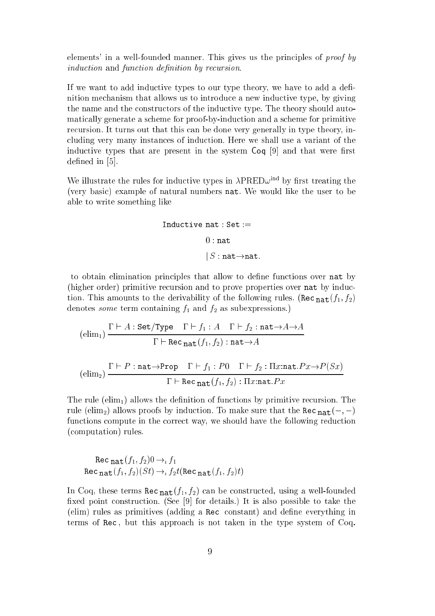elements' in a well-founded manner. This gives us the principles of proof by induction and function definition by recursion.

If we want to add inductive types to our type theory, we have to add a definition me
hanism that allows us to introdu
e a new indu
tive type, by giving the name and the constructors of the inductive type. The theory should automati
ally generate a s
heme for proof-by-indu
tion and a s
heme for primitive recursion. It turns out that this can be done very generally in type theory, including very many instances of induction. Here we shall use a variant of the inductive types that are present in the system  $Coq$  [9] and that were first defined in  $[5]$ .

We illustrate the rules for inductive types in  $\lambda$ PRED $\omega$ <sup>ind</sup> by first treating the (very basi
) example of natural numbers nat. We would like the user to be able to write something like

$$
\begin{aligned} \text{Inductive nat}: \text{Set} := \\ &0: \text{nat} \\ &|S: \text{nat} {\rightarrow} \text{nat}. \end{aligned}
$$

to obtain elimination principles that allow to define functions over nat by (higher order) primitive recursion and to prove properties over nat by inducthe derivative the derivative derivative  $\Lambda$  and the derivative  $\Omega$  rules. (The following  $\Lambda$ denotes *some* term containing  $f_1$  and  $f_2$  as subexpressions.)

$$
\frac{\Gamma \vdash A : \texttt{Set/Type} \quad \Gamma \vdash f_1 : A \quad \Gamma \vdash f_2 : \texttt{nat} \rightarrow A \rightarrow A}{\Gamma \vdash \texttt{Rec}_{\texttt{nat}}(f_1, f_2) : \texttt{nat} \rightarrow A}
$$
\n
$$
\text{(elim}_2) \frac{\Gamma \vdash P : \texttt{nat} \rightarrow \texttt{Prop} \quad \Gamma \vdash f_1 : P0 \quad \Gamma \vdash f_2 : \Pi x : \texttt{nat}.Px \rightarrow P(Sx)}{\Gamma \vdash \texttt{Rec}_{\texttt{nat}}(f_1, f_2) : \Pi x : \texttt{nat}.Px}
$$

The rule  $(\text{elim}_1)$  allows the definition of functions by primitive recursion. The rule (elimination is the result of the result of the results before the sure that  $\mathbf{H} \mathbf{a} \mathbf{b}$  ( )  $\rightarrow$ functions compute in the correct way, we should have the following reduction (
omputation) rules.

Rec 
$$
\text{nat}(f_1, f_2) \to t f_1
$$
  
Rec  $\text{nat}(f_1, f_2)(St) \to t f_2 t (\text{Rec } \text{nat}(f_1, f_2)t)$ 

in coal, these terms real  $\mathbf{H}(\mathbf{d}|\mathbf{r})$  is the computation well-found in the second fixed point construction. (See  $[9]$  for details.) It is also possible to take the (elim) rules as primitives (adding a Rec constant) and define everything in terms of Rec, but this approach is not taken in the type system of Coq.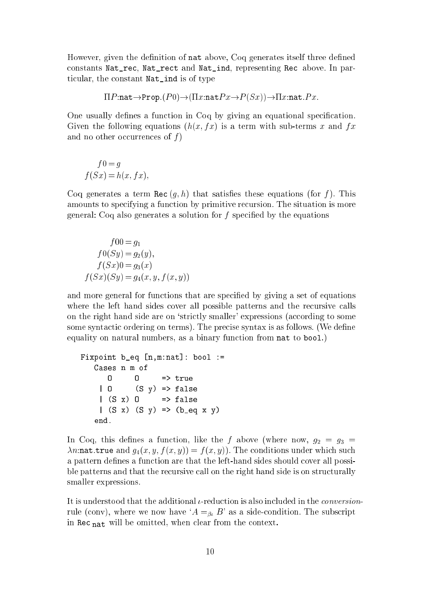However, given the definition of nat above, Coq generates itself three defined constants Nat\_rec, Nat\_rect and Nat\_ind, representing Rec above. In parti
ular, the onstant Nat\_ind is of type

$$
\Pi P{:}\mathtt{nat}{\rightarrow}\mathtt{Prop}.(P0){\rightarrow}(\Pi x{:}\mathtt{nat}Px{\rightarrow}P(Sx)){\rightarrow}\Pi x{:}\mathtt{nat}.Px.
$$

One usually defines a function in Coq by giving an equational specification. Given the following equations  $(h(x, fx)$  is a term with sub-terms x and fx and no other occurrences of  $f$ )

$$
f0 = g
$$
  

$$
f(Sx) = h(x, fx),
$$

Coq generates a term Rec  $(q, h)$  that satisfies these equations (for f). This amounts to spe
ifying a fun
tion by primitive re
ursion. The situation is more general: Coq also generates a solution for  $f$  specified by the equations

$$
f00 = g1
$$
  
\n
$$
f0(Sy) = g2(y),
$$
  
\n
$$
f(Sx)0 = g3(x)
$$
  
\n
$$
f(Sx)(Sy) = g4(x, y, f(x, y))
$$

and more general for functions that are specified by giving a set of equations where the left hand sides cover all possible patterns and the recursive calls on the right hand side are on 'strictly smaller' expressions (according to some some syntactic ordering on terms). The precise syntax is as follows. (We define equality on natural numbers, as a binary function from nat to bool.)

```
Fixpoint b_{eq} [n,m:nat]: bool :=
    Cases n m of
        \overline{0}\Rightarrow true
                \mathbf{0}| 0 (S \vee) \Rightarrow false|(S x) 0 => false
     |(S x)(S y) \Rightarrow (b_eq x y)end.
```
In Coq, this defines a function, like the f above (where now,  $g_2 = g_3$  =  $\lambda n:$ nat.true and  $g_4(x, y, f(x, y)) = f(x, y)$ . The conditions under which such a pattern defines a function are that the left-hand sides should cover all possible patterns and that the recursive call on the right hand side is on structurally smaller expressions.

It is understood that the additional  $\iota$ -reduction is also included in the *conversion*rule (conv), where we now have ' $A =_{\beta_k} B$ ' as a side-condition. The subscript in Republica Communication and the communication of the communication of the communication of the communication of the communication of the communication of the communication of the communication of the communication of th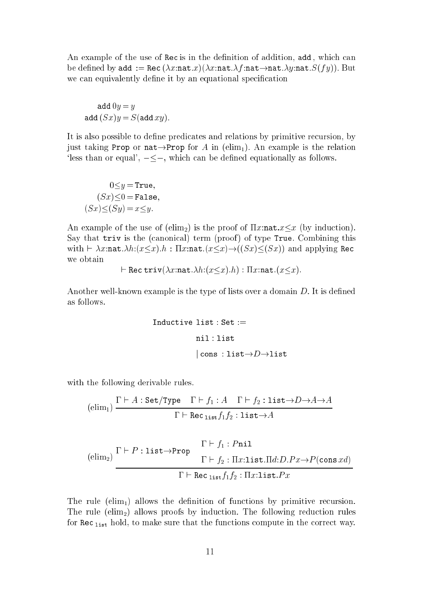An example of the use of Rec is in the definition of addition, add, which can be defined by add := Rec  $(\lambda x:\texttt{nat}.x)(\lambda x:\texttt{nat}.\lambda f:\texttt{nat} \rightarrow \texttt{nat}.\lambda y:\texttt{nat}.S(fy))$ . But we can equivalently define it by an equational specification

$$
add\ 0y = y
$$
  
add  $(Sx)y = S(add\ xy).$ 

It is also possible to define predicates and relations by primitive recursion, by just taking Prop or nat $\rightarrow$ Prop for A in (elim<sub>1</sub>). An example is the relation 'less than or equal',  $-\leq$ , which can be defined equationally as follows.

$$
0 \le y = \text{True},
$$
  

$$
(Sx) \le 0 = \text{False},
$$
  

$$
(Sx) \le (Sy) = x \le y.
$$

An example of the use of (elim<sub>2</sub>) is the proof of  $\Pi x:\texttt{nat}.x \leq x$  (by induction). Say that triv is the (canonical) term (proof) of type True. Combining this with  $\vdash \lambda x$ :nat. $\lambda h:(x\leq x).h : \Pi x$ :nat. $(x\leq x) \rightarrow ((Sx)\leq(Sx))$  and applying Rec we obtain

$$
\vdash \mathtt{Rec}\ \mathtt{triv}(\lambda x.\mathtt{nat}.\lambda h.(x \leq x).h):\Pi x.\mathtt{nat}.(x \leq x)
$$

Another well-known example is the type of lists over a domain  $D$ . It is defined as follows.

Inductive list : Set :=  
\nnil : list  
\n
$$
|\text{cons : list} {\rightarrow} D {\rightarrow} list
$$

with the following derivable rules.

$$
(\text{elim}_1) \frac{\Gamma \vdash A : \texttt{Set}/\texttt{Type} \quad \Gamma \vdash f_1 : A \quad \Gamma \vdash f_2 : \texttt{list} \rightarrow D \rightarrow A \rightarrow A}{\Gamma \vdash \texttt{Rec}\, \texttt{list} f_1 f_2 : \texttt{list} \rightarrow A}
$$

$$
\frac{\Gamma \vdash f_1 : P \text{nil}
$$
\n
$$
\frac{\Gamma \vdash f_1 : P \text{nil}
$$
\n
$$
\Gamma \vdash f_2 : \Pi x : \text{list} . \Pi d : D.Px \to P(\text{cons } xd)
$$
\n
$$
\frac{\Gamma \vdash \text{Rec}_{\text{list}} f_1 f_2 : \Pi x : \text{list} . Px}{\Gamma \vdash \text{Rec}_{\text{list}} f_1 f_2 : \Pi x : \text{list} . Px}
$$

The rule (elim<sub>1</sub>) allows the definition of functions by primitive recursion. The rule ( $elim_2$ ) allows proofs by induction. The following reduction rules for Re list hold, to make sure that the fun
tions ompute in the orre
t way.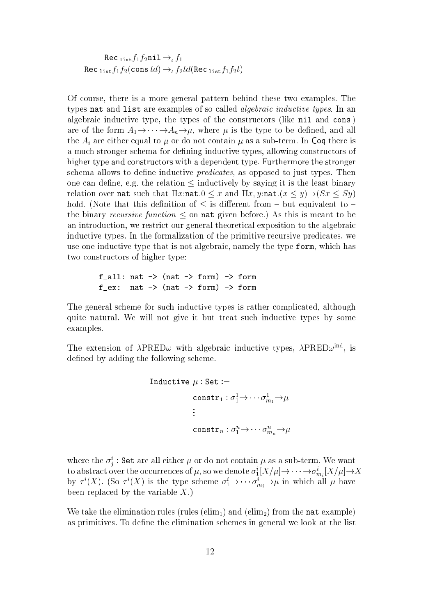$1.8771772 + 1.77777$  $\frac{1}{18t}$   $\frac{1}{2}$  (complete)  $\frac{1}{2}$   $\frac{1}{2}$   $\frac{1}{2}$   $\frac{1}{2}$   $\frac{1}{2}$   $\frac{1}{2}$   $\frac{1}{2}$ 

Of ourse, there is a more general pattern behind these two examples. The types nat and list are examples of so called *algebraic inductive types*. In an algebraic inductive type, the types of the constructors (like nil and cons) are of the form  $A_1 \rightarrow \cdots \rightarrow A_n \rightarrow \mu$ , where  $\mu$  is the type to be defined, and all the  $A_i$  are either equal to  $\mu$  or do not contain  $\mu$  as a sub-term. In Coq there is a much stronger schema for defining inductive types, allowing constructors of higher type and constructors with a dependent type. Furthermore the stronger schema allows to define inductive *predicates*, as opposed to just types. Then one can define, e.g. the relation  $\leq$  inductively by saying it is the least binary relation over nat such that  $\Pi x:\texttt{nat}.0 \leq x$  and  $\Pi x, y:\texttt{nat}.(x \leq y) \rightarrow (Sx \leq Sy)$ hold. (Note that this definition of  $\leq$  is different from  ${\bf -}$  but equivalent to  ${\bf -}$ the binary *recursive function*  $\leq$  on **nat** given before.) As this is meant to be an introduction, we restrict our general theoretical exposition to the algebraic inductive types. In the formalization of the primitive recursive predicates, we use one inductive type that is not algebraic, namely the type form, which has two onstru
tors of higher type:

f all: nat  $\rightarrow$  (nat  $\rightarrow$  form)  $\rightarrow$  form nat  $\rightarrow$  (nat  $\rightarrow$  form)  $\rightarrow$  form  $f$  ex:

The general s
heme for su
h indu
tive types is rather ompli
ated, although quite natural. We will not give it but treat such inductive types by some examples.

The extension of  $APRLD\omega$  with algebraic inductive types,  $APRLD\omega$ ..., is defined by adding the following scheme.

Inductive 
$$
\mu
$$
: Set :=  
\n
$$
\text{constr}_1 : \sigma_1^1 \to \cdots \sigma_{m_1}^1 \to \mu
$$
\n
$$
\vdots
$$
\n
$$
\text{constr}_n : \sigma_1^n \to \cdots \sigma_{m_n}^n \to \mu
$$

where the  $\sigma^i_j$  : Set are all either  $\mu$  or do not contain  $\mu$  as a sub-term. We want to abstract over the occurrences of  $\mu,$  so we denote  $\sigma_1^i[X/\mu]{\to}\cdots{\to}\sigma_{m_i}^i[X/\mu]{\to}X$ by  $\tau^i(X)$ . (So  $\tau^i(X)$  is the type scheme  $\sigma^i_1 \rightarrow \cdots \sigma^i_{m_i} \rightarrow \mu$  in which all  $\mu$  have been replaced by the variable  $X$ .)

We take the elimination rules (rules (elim<sub>1</sub>) and (elim<sub>2</sub>) from the nat example) as primitives. To define the elimination schemes in general we look at the list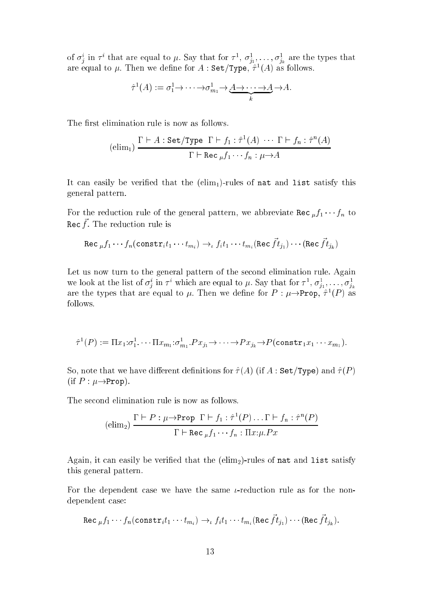of  $\sigma^i_j$  in  $\tau^i$  that are equal to  $\mu$ . Say that for  $\tau^1$ ,  $\sigma^1_{j_1}, \ldots, \sigma^1_{j_k}$  are the types that are equal to  $\mu$ . Then we define for  $A$  : Set/Type,  $\tau$  (A) as follows.

$$
\hat{\tau}^1(A) := \sigma_1^1 \to \cdots \to \sigma_{m_1}^1 \to \underbrace{A \to \cdots \to A}_{k} \to A.
$$

The first elimination rule is now as follows.

$$
(\text{elim}_1) \frac{\Gamma \vdash A : \texttt{Set}/\texttt{Type } \Gamma \vdash f_1 : \hat{\tau}^1(A) \cdot \cdot \cdot \Gamma \vdash f_n : \hat{\tau}^n(A)}{\Gamma \vdash \texttt{Rec}\, {}_\mu f_1 \cdots f_n : \mu \to A}
$$

It can easily be verified that the  $(\text{elim}_1)$ -rules of nat and list satisfy this general pattern.

For the reduction rule of the general pattern, we abbreviate  $\text{Hess}\int f(x)$  for nec ). The reduction rule is

$$
\texttt{Rec~} \mu f_1 \cdots f_n (\texttt{constr}_i t_1 \cdots t_{m_i}) \rightarrow_\iota f_i t_1 \cdots t_{m_i} (\texttt{Rec~} \vec{f} t_{j_1}) \cdots (\texttt{Rec~} \vec{f} t_{j_k})
$$

Let us now turn to the general pattern of the second elimination rule. Again we look at the list of  $\sigma^i_j$  in  $\tau^i$  which are equal to  $\mu.$  Say that for  $\tau^1,$   $\sigma^1_{j_1},$   $\ldots,$   $\sigma^1_{j_k}$ are the types that are equal to  $\mu$ . Then we define for  $P : \mu {\rightarrow} {\tt Prop}, \tau^* (P)$  as follows.

$$
\hat{\tau}^1(P) := \Pi x_1 \cdot \sigma_1^1 \cdots \Pi x_{m_1} \cdot \sigma_{m_1}^1 \cdot P x_{j_1} \rightarrow \cdots \rightarrow P x_{j_k} \rightarrow P(\text{const} \mathbf{r}_1 x_1 \cdots x_{m_1}).
$$

So, note that we have different definitions for  $\hat{\tau}(A)$  (if A : Set/Type) and  $\hat{\tau}(P)$ (if  $P : \mu \rightarrow \text{Prop}$ ).

The second elimination rule is now as follows.

$$
\text{(elim}_2) \frac{\Gamma \vdash P : \mu \rightarrow \text{Prop } \Gamma \vdash f_1 : \hat{\tau}^1(P) \dots \Gamma \vdash f_n : \hat{\tau}^n(P)}{\Gamma \vdash \text{Rec }_{\mu} f_1 \cdots f_n : \Pi x : \mu \cdot Px}
$$

Again, it can easily be verified that the  $(\text{elim}_2)$ -rules of nat and list satisfy this general pattern.

For the dependent case we have the same  $\iota$ -reduction rule as for the nondependent ase:

Rec 
$$
_{\mu} f_1 \cdots f_n(\text{constr}_i t_1 \cdots t_{m_i}) \rightarrow_t f_i t_1 \cdots t_{m_i}(\text{Rec } \vec{f} t_{j_1}) \cdots (\text{Rec } \vec{f} t_{j_k}).
$$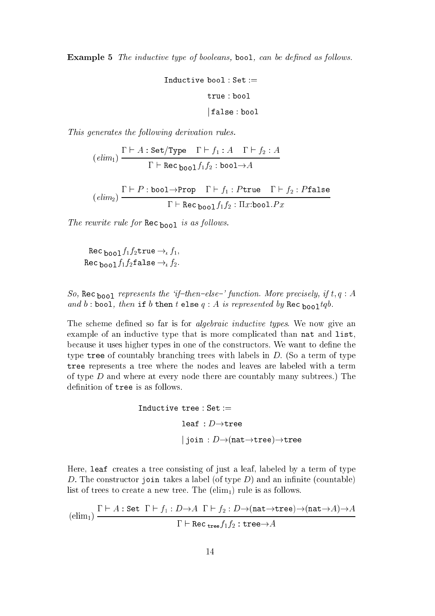**Example 5** The inductive type of booleans, bool, can be defined as follows.

$$
\begin{aligned} \text{Inductive bool}: \text{Set} := \\ \text{true}:\text{bool} \\ &|\text{false}:\text{bool} \end{aligned}
$$

This generates the following derivation rules.

$$
(elim_1) \frac{\Gamma \vdash A : \texttt{Set}/\texttt{Type} \quad \Gamma \vdash f_1 : A \quad \Gamma \vdash f_2 : A}{\Gamma \vdash \texttt{Rec}_{\texttt{bool}} f_1 f_2 : \texttt{bool} \rightarrow A}
$$

$$
(elim_2) \frac{\Gamma \vdash P : \text{bool} \rightarrow \text{Prop} \quad \Gamma \vdash f_1 : P \text{true} \quad \Gamma \vdash f_2 : P \text{false}}{\Gamma \vdash \text{Rec}_{\text{bool}} f_1 f_2 : \Pi x : \text{bool}.Px}
$$

 $\mathcal{L}$  is assumed for  $\mathcal{L}$  as follows. The  $\mathcal{L}$ 

 $\mathfrak{p}_{\text{0}}$  bool  $\mathfrak{q}_{1}$   $\mathfrak{p}_{2}$  and  $\mathfrak{p}_{1}$   $\mathfrak{p}_{2}$ Re boolf1f2false ! f2:

So, Rec <sub>bool</sub> represents the 'if-then-else-' function. More precisely, if t,  $q : A$ and b : bool, then if b then there  $\frac{1}{4}$  is represented by the pool  $\frac{1}{4}$ 

The scheme defined so far is for *algebraic inductive types*. We now give an example of an inductive type that is more complicated than nat and list. because it uses higher types in one of the constructors. We want to define the type tree of countably branching trees with labels in  $D$ . (So a term of type tree represents a tree where the nodes and leaves are labeled with a term of type  $D$  and where at every node there are countably many subtrees.) The definition of tree is as follows.

$$
\begin{aligned} \text{Inductive tree}: \text{Set} &:= \\ \text{leaf}: D &\!\!\rightarrow\!\!\text{tree} \\ &|\text{ join}: D &\!\!\rightarrow\!\!\text{(nat} \!\rightarrow\!\!\text{tree}) \!\!\rightarrow\!\!\text{tree} \end{aligned}
$$

Here, leaf creates a tree consisting of just a leaf, labeled by a term of type D. The constructor join takes a label (of type  $D$ ) and an infinite (countable) list of trees to create a new tree. The  $(\text{elim}_1)$  rule is as follows.

$$
(\text{elim}_1) \frac{\Gamma \vdash A : \texttt{Set} \ \Gamma \vdash f_1 : D \to A \ \Gamma \vdash f_2 : D \to (\texttt{nat} \to \texttt{tree}) \to (\texttt{nat} \to A) \to A}{\Gamma \vdash \texttt{Rec}_{\texttt{tree}} f_1 f_2 : \texttt{tree} \to A}
$$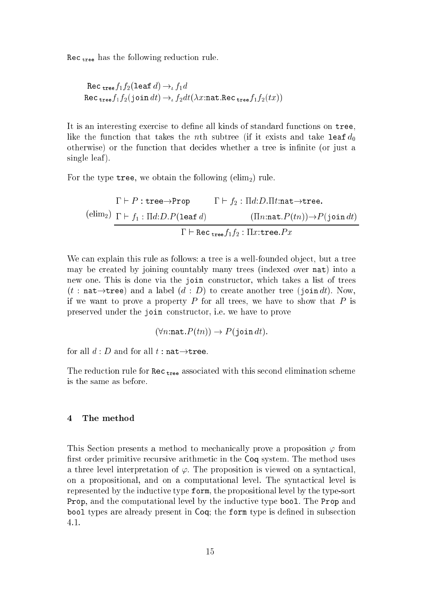ree has the following reduced to the following reduced to the following reduced to the following reduced to the

Rec 
$$
\text{tree } f_1 f_2 (\text{leaf } d) \to_t f_1 d
$$
  
Rec  $\text{tree } f_1 f_2 (\text{join } dt) \to_t f_2 dt (\lambda x \text{:nat} \text{.Rec } \text{tree } f_1 f_2 (tx))$ 

It is an interesting exercise to define all kinds of standard functions on tree, like the function that takes the *n*th subtree (if it exists and take leaf  $d_0$ otherwise) or the function that decides whether a tree is infinite (or just a single leaf).

For the type tree, we obtain the following ( $elim_2$ ) rule.

$$
\Gamma \vdash P : \text{tree} \rightarrow \text{Prop} \qquad \Gamma \vdash f_2 : \Pi d : D . \Pi t : \text{nat} \rightarrow \text{tree}.
$$
\n
$$
\text{(elim}_2) \quad \Gamma \vdash f_1 : \Pi d : D . P (\text{leaf } d) \qquad (\Pi n : \text{nat} . P(tn)) \rightarrow P(\text{join } dt)
$$
\n
$$
\Gamma \vdash \text{Rec}_{\text{tree}} f_1 f_2 : \Pi x : \text{tree} . Px
$$

We can explain this rule as follows: a tree is a well-founded object, but a tree may be reated by joining ountably many trees (indexed over nat) into a new one. This is done via the join onstru
tor, whi
h takes a list of trees  $(t : \text{nat} \rightarrow \text{tree})$  and a label  $(d : D)$  to create another tree (join dt). Now, if we want to prove a property  $P$  for all trees, we have to show that  $P$  is preserved under the join onstru
tor, i.e. we have to prove

$$
(\forall n \colon \mathtt{nat}.P(tn)) \to P(\mathtt{join} \, dt).
$$

for all  $d : D$  and for all  $t : \texttt{nat} \rightarrow \texttt{tree}.$ 

The redu
tion rule for Re tree asso
iated with this se
ond elimination s
heme is the same as before.

#### $\overline{4}$ The method

This Section presents a method to mechanically prove a proposition  $\varphi$  from first order primitive recursive arithmetic in the Coq system. The method uses a three level interpretation of  $\varphi$ . The proposition is viewed on a syntactical. on a propositional, and on a computational level. The syntactical level is represented by the indu
tive type form, the propositional level by the type-sort Prop, and the omputational level by the indu
tive type bool. The Prop and bool types are already present in Coq; the form type is defined in subsection 4.1.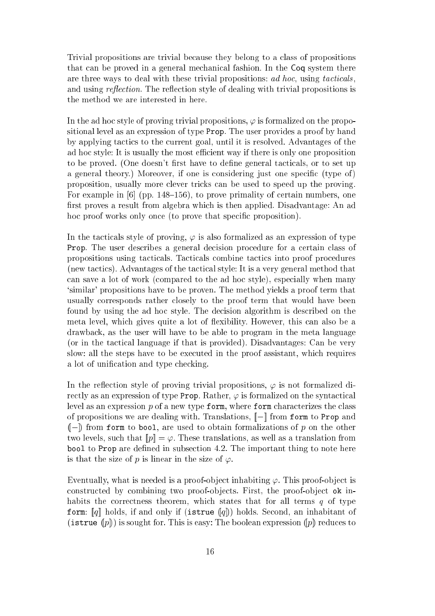Trivial propositions are trivial be
ause they belong to a lass of propositions that can be proved in a general mechanical fashion. In the Coq system there are three ways to deal with these trivial propositions:  $ad$  hoc, using tacticals, and using reflection. The reflection style of dealing with trivial propositions is the method we are interested in here.

In the ad hoc style of proving trivial propositions,  $\varphi$  is formalized on the propositional level as an expression of type Prop. The user provides a proof by hand by applying tactics to the current goal, until it is resolved. Advantages of the ad hoc style: It is usually the most efficient way if there is only one proposition to be proved. (One doesn't first have to define general tacticals, or to set up a general theory.) Moreover, if one is considering just one specific (type of) proposition, usually more lever tri
ks an be used to speed up the proving. For example in  $[6]$  (pp. 148–156), to prove primality of certain numbers, one first proves a result from algebra which is then applied. Disadvantage: An ad hoc proof works only once (to prove that specific proposition).

In the tacticals style of proving,  $\varphi$  is also formalized as an expression of type Prop. The user describes a general decision procedure for a certain class of propositions using tacticals. Tacticals combine tactics into proof procedures (new tactics). Advantages of the tactical style: It is a very general method that an save a lot of work (
ompared to the ad ho style), espe
ially when many `similar' propositions have to be proven. The method yields a proof term that usually orresponds rather losely to the proof term that would have been found by using the ad hoc style. The decision algorithm is described on the meta level, which gives quite a lot of flexibility. However, this can also be a drawba
k, as the user will have to be able to program in the meta language (or in the tactical language if that is provided). Disadvantages: Can be very slow: all the steps have to be executed in the proof assistant, which requires a lot of unification and type checking.

In the reflection style of proving trivial propositions,  $\varphi$  is not formalized directly as an expression of type Prop. Rather,  $\varphi$  is formalized on the syntactical level as an expression  $p$  of a new type form, where form characterizes the class of propositions we are dealing with. Translations,  $\llbracket - \rrbracket$  from form to Prop and  $(-)$  from form to bool, are used to obtain formalizations of p on the other two levels, such that  $[\![p]\!] = \varphi$ . These translations, as well as a translation from bool to Prop are defined in subsection 4.2. The important thing to note here is that the size of p is linear in the size of  $\varphi$ .

Eventually, what is needed is a proof-object inhabiting  $\varphi$ . This proof-object is constructed by combining two proof-objects. First, the proof-object ok inhabits the correctness theorem, which states that for all terms  $q$  of type form:  $\llbracket q \rrbracket$  holds, if and only if (istrue  $\llbracket q \rrbracket$ ) holds. Second, an inhabitant of  $(\texttt{istrue}\ (p))$  is sought for. This is easy: The boolean expression  $(p\!$  reduces to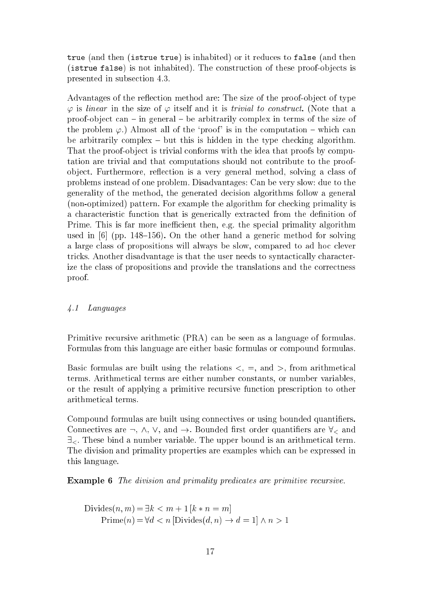true (and then (istrue true) is inhabited) or it redu
es to false (and then (istrue false) is not inhabited). The construction of these proof-objects is presented in subse
tion 4.3.

Advantages of the reflection method are: The size of the proof-object of type  $\varphi$  is linear in the size of  $\varphi$  itself and it is *trivial to construct*. (Note that a proof-object can – in general – be arbitrarily complex in terms of the size of the problem  $\varphi$ .) Almost all of the 'proof' is in the computation – which can be arbitrarily complex  $-$  but this is hidden in the type checking algorithm. That the proof-object is trivial conforms with the idea that proofs by computation are trivial and that omputations should not ontribute to the proofobject. Furthermore, reflection is a very general method, solving a class of problems instead of one problem. Disadvantages: Can be very slow: due to the generality of the method, the generated de
ision algorithms follow a general (non-optimized) pattern. For example the algorithm for checking primality is a characteristic function that is generically extracted from the definition of Prime. This is far more inefficient then, e.g. the special primality algorithm used in  $[6]$  (pp. 148-156). On the other hand a generic method for solving a large class of propositions will always be slow, compared to ad hoc clever tricks. Another disadvantage is that the user needs to syntactically characterize the class of propositions and provide the translations and the correctness proof.

### 4.1 Languages

Primitive recursive arithmetic (PRA) can be seen as a language of formulas. Formulas from this language are either basi formulas or ompound formulas.

Basic formulas are built using the relations  $\lt$ ,  $\equiv$ , and  $\gt$ , from arithmetical terms. Arithmeti
al terms are either number onstants, or number variables, or the result of applying a primitive re
ursive fun
tion pres
ription to other arithmeti
al terms.

Compound formulas are built using connectives or using bounded quantifiers. Connectives are  $\neg$ ,  $\wedge$ ,  $\vee$ , and  $\rightarrow$ . Bounded first order quantifiers are  $\forall$ <sub><</sub> and  $\exists$ . These bind a number variable. The upper bound is an arithmetical term. The division and primality properties are examples whi
h an be expressed in this language.

**Example 6** The division and primality predicates are primitive recursive.

Divides
$$
(n, m) = \exists k < m + 1 [k * n = m]
$$
  
Prime $(n) = \forall d < n$  [Divides $(d, n) \rightarrow d = 1] \land n > 1$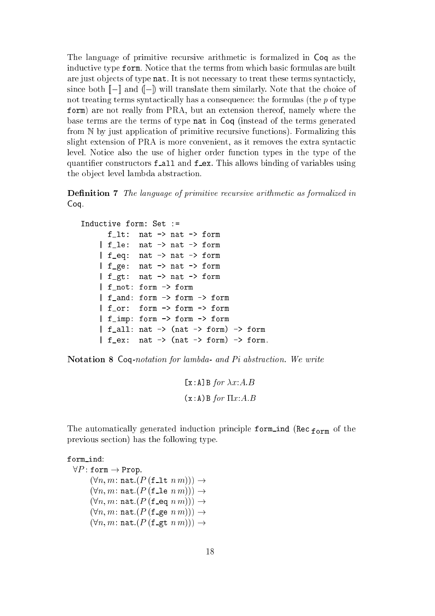The language of primitive recursive arithmetic is formalized in Coq as the inductive type form. Notice that the terms from which basic formulas are built are just objects of type nat. It is not necessary to treat these terms syntacticly, since both  $\llbracket - \rrbracket$  and  $\llbracket - \rrbracket$  will translate them similarly. Note that the choice of not treating terms syntactically has a consequence: the formulas (the  $p$  of type form) are not really from PRA, but an extension thereof, namely where the base terms are the terms of type nat in Coq (instead of the terms generated from N by just application of primitive recursive functions). Formalizing this slight extension of PRA is more convenient, as it removes the extra syntactic level. Notice also the use of higher order function types in the type of the quantifier constructors f\_all and f\_ex. This allows binding of variables using the object level lambda abstraction.

**Definition 7** The language of primitive recursive arithmetic as formalized in Coq.

```
Indu
tive form: Set :=
      f_lt: nat -> nat -> form
    | f_le: nat -> nat -> form
    | f_eq: nat -> nat -> form
    | f_ge: nat -> nat -> form
    | f_g t: nat \rightarrow nat \rightarrow form
    | f_not: form -> form
    | f and: form -> form -> form
    | f_or: form -> form -> form
    | f_imp: form -> form -> form
    | f_all: nat -> (nat -> form) -> form| f_{ex}: nat \rightarrow (nat \rightarrow form) \rightarrow form.
```
Notation 8 Coq-notation for lambda- and Pi abstraction. We write

```
[x:A]B for \lambda x:A.B(x:A)B for \Pi x:A.B
```
in ally generated induced induced the principle form induced  $\ell_{\rm crit}$  (recently form  $\rm 101\,III$  ) and  $\rm cm$ previous se
tion) has the following type.

form ind:  $\forall P : \texttt{form} \rightarrow \texttt{Prop}.$  $(\forall n, m : \texttt{nat}.(P(\texttt{f\_lt}~n~m))) \rightarrow$  $(\forall n, m: \texttt{nat}.(P(\texttt{file}~n~m))) \rightarrow$  $(\forall n, m : \texttt{nat}.(P(\texttt{f\_eq}~n~m))) \rightarrow$  $(\forall n, m : \texttt{nat}.(P(\texttt{f\_ge}~n~m))) \rightarrow$  $(\forall n, m : \texttt{nat}.(P(\texttt{f\_gt} n m))) \rightarrow$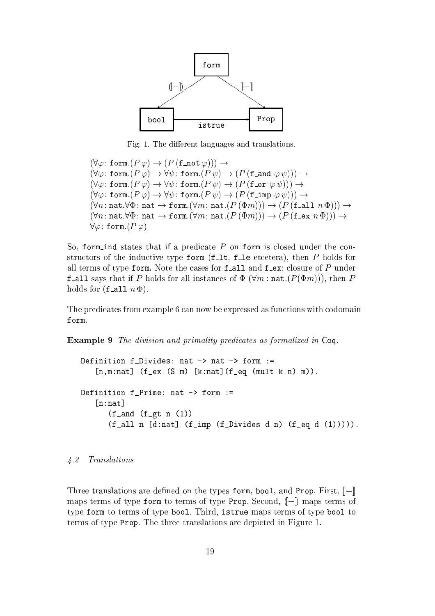

Fig. 1. The different languages and translations.

 $(\forall \varphi \colon \mathtt{form}.(P \varphi) \to (P \, (\mathtt{f} \mathtt{mot} \, \varphi))) \to$  $(\forall \varphi : \texttt{form}.(P \varphi) \rightarrow \forall \psi : \texttt{form}.(P \psi) \rightarrow (P \texttt{(f_and } \varphi \psi))) \rightarrow$  $(\forall \varphi : \texttt{form}.(P \varphi) \rightarrow \forall \psi : \texttt{form}.(P \psi) \rightarrow (P \texttt{(f\_or } \varphi \psi))) \rightarrow$  $(\forall \varphi : \texttt{form}.(P \varphi) \rightarrow \forall \psi : \texttt{form}.(P \psi) \rightarrow (P \texttt{(f\_imp } \varphi \psi))) \rightarrow$  $(\forall n : \texttt{nat}.\forall \Phi : \texttt{nat} \rightarrow \texttt{form}.(\forall m : \texttt{nat}.(P(\Phi m))) \rightarrow (P(\texttt{fall } n \Phi))) \rightarrow$  $(\forall n : \texttt{nat}.\forall \Phi : \texttt{nat} \rightarrow \texttt{form}.(\forall m : \texttt{nat}.(P(\Phi m))) \rightarrow (P(\texttt{f\_ex } n \Phi))) \rightarrow$  $\forall \varphi$ : form. $(P \varphi)$ 

So, form ind states that if a predicate  $P$  on form is closed under the constructors of the inductive type form (f. It, f. le etcetera), then P holds for all terms of type form. Note the cases for  $f$  all and  $f$  ex: closure of  $P$  under f-all says that if P holds for all instances of  $\Phi$  ( $\forall m$ : nat. ( $P(\Phi m)$ )), then P holds for  $(f_\text{all } n \Phi)$ .

The predicates from example 6 can now be expressed as functions with codomain form.

Example 9 The division and primality predicates as formalized in Coq.

Definition f\_Divides: nat  $\rightarrow$  nat  $\rightarrow$  form :=  $[n,m:nat]$  (f\_ex (S m) [k:nat](f\_eq (mult k n) m)). Definition f\_Prime: nat -> form :=  $[n:nat]$  $(f_and (f_gt n (1)))$  $(f_\text{all n} [d:\text{nat}]$   $(f_\text{imp} (f_\text{Divides d n}) (f_\text{eq d} (1))))$ .

### 4.2 Translations

Three translations are defined on the types form, bool, and Prop. First,  $\llbracket - \rrbracket$ maps terms of type form to terms of type Prop. Second,  $(-)$  maps terms of type form to terms of type bool. Third, istrue maps terms of type bool to terms of type Prop. The three translations are depicted in Figure 1.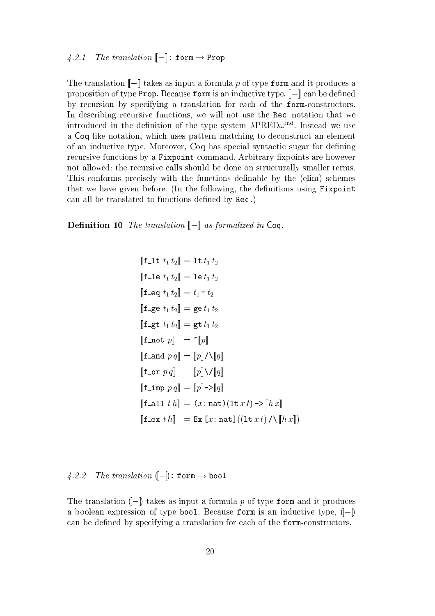The translation  $\llbracket - \rrbracket$  takes as input a formula p of type form and it produces a proposition of type Prop. Because form is an inductive type,  $\llbracket - \rrbracket$  can be defined by recursion by specifying a translation for each of the form-constructors. In describing recursive functions, we will not use the Rec notation that we introduced in the definition of the type system  $AP$  KED $\omega^{++}$ . Instead we use a Coq like notation, which uses pattern matching to deconstruct an element of an inductive type. Moreover, Coq has special syntactic sugar for defining recursive functions by a Fixpoint command. Arbitrary fixpoints are however not allowed: the recursive calls should be done on structurally smaller terms. This conforms precisely with the functions definable by the (elim) schemes that we have given before. (In the following, the definitions using  $Fixpoint$ can all be translated to functions defined by Rec.)

**Definition 10** The translation  $\llbracket - \rrbracket$  as formalized in Coq.

$$
\begin{aligned}\n\llbracket \mathbf{f} \lrcorner \mathbf{t} \, t_1 \, t_2 \rrbracket &= \mathbf{1} \mathbf{t} \, t_1 \, t_2 \\
\llbracket \mathbf{f} \lrcorner \mathbf{e} \, t_1 \, t_2 \rrbracket &= \mathbf{1} \mathbf{e} \, t_1 \, t_2 \\
\llbracket \mathbf{f} \lrcorner \mathbf{e} \, t_1 \, t_2 \rrbracket &= \mathbf{g} \mathbf{e} \, t_1 \, t_2 \\
\llbracket \mathbf{f} \lrcorner \mathbf{g} \, t_1 \, t_2 \rrbracket &= \mathbf{g} \mathbf{t} \, t_1 \, t_2 \\
\llbracket \mathbf{f} \lrcorner \mathbf{h} \, t_1 \, t_2 \rrbracket &= \mathbf{g} \, t_1 \, t_2 \\
\llbracket \mathbf{f} \lrcorner \mathbf{h} \, t_1 \rrbracket &= \mathbf{g} \, t_1 \, t_2 \\
\llbracket \mathbf{f} \lrcorner \mathbf{h} \, t_1 \rrbracket &= \mathbf{g} \, t_1 \, t_1 \, t_2 \\
\llbracket \mathbf{f} \lrcorner \mathbf{h} \, t_1 \rrbracket &= \mathbf{g} \, t_1 \, t_1 \, t_2 \\
\llbracket \mathbf{f} \lrcorner \mathbf{h} \, t_1 \rrbracket &= \mathbf{g} \, t_1 \, t_1 \, t_2 \, t_1 \, t_2 \\
\llbracket \mathbf{f} \lrcorner \mathbf{h} \, t_1 \rrbracket &= \mathbf{g} \, t_1 \, t_2 \, t_1 \, t_2 \, t_1 \, t_2 \, t_1 \, t_2 \, t_1 \, t_2 \, t_1 \, t_2 \, t_1 \, t_2 \, t_1 \, t_2 \, t_1 \, t_2 \, t_1 \, t_2 \, t_1 \, t_2 \, t_1 \, t_2 \, t_1 \, t_2 \, t_1 \, t_2 \, t_1 \, t_2 \, t_1 \, t_2 \, t_1 \, t_2 \, t_1 \, t_2 \
$$

4.2.2 The translation  $(-)$ : form  $\rightarrow$  bool

The translation  $(-)$  takes as input a formula p of type form and it produces a boolean expression of type bool. Because form is an inductive type,  $(-)$ can be defined by specifying a translation for each of the form-constructors.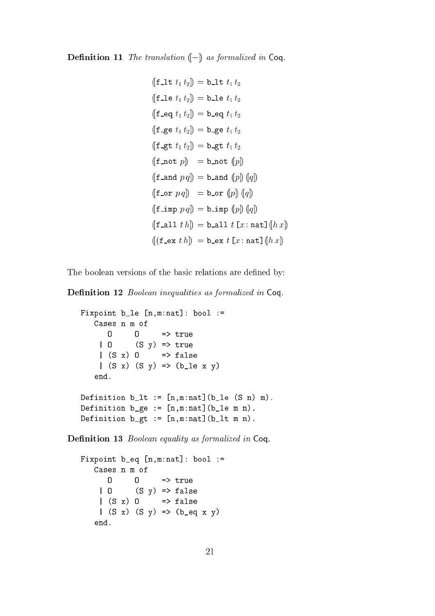**Definition 11** The translation  $\left(-\right)$  as formalized in Coq.

$$
(\text{f}\_1 t_1 t_2) = \text{b}\_1 t_1 t_2
$$
\n
$$
(\text{f}\_1 e t_1 t_2) = \text{b}\_1 e t_1 t_2
$$
\n
$$
(\text{f}\_2 e t_1 t_2) = \text{b}\_2 e t_1 t_2
$$
\n
$$
(\text{f}\_3 e t_1 t_2) = \text{b}\_3 e t_1 t_2
$$
\n
$$
(\text{f}\_3 e t_1 t_2) = \text{b}\_3 e t_1 t_2
$$
\n
$$
(\text{f}\_3 e t_1 t_2) = \text{b}\_3 e t_1 t_2
$$
\n
$$
(\text{f}\_3 e t_1 t_2) = \text{b}\_3 e t_1 t_2
$$
\n
$$
(\text{f}\_3 e t_1 t_2) = \text{b}\_3 e t_1 t_2
$$
\n
$$
(\text{f}\_3 e t_1 t_2) = \text{b}\_3 e t_1 t_2
$$
\n
$$
(\text{f}\_3 e t_1 t_2) = \text{b}\_3 e t_1 t_2
$$
\n
$$
(\text{f}\_3 e t_1 t_2) = \text{b}\_3 e t_1 t_2
$$
\n
$$
(\text{f}\_3 e t_1 t_2) = \text{b}\_3 e t_1 t_2
$$
\n
$$
(\text{f}\_3 e t_1 t_2) = \text{b}\_3 e t_1 t_2
$$
\n
$$
(\text{f}\_3 e t_1 t_2) = \text{b}\_3 e t_1 t_2
$$
\n
$$
(\text{f}\_3 e t_1 t_2) = \text{b}\_3 e t_1 t_2
$$
\n
$$
(\text{f}\_3 e t_1 t_2) = \text{b}\_3 e t_1 t_2
$$

The boolean versions of the basic relations are defined by:

Definition 12 Boolean inequalities as formalized in Coq.

```
Fixpoint b_l = [n,m:nat]: bool :=
   Cases n m of
      \Omega0 \implies true| O (S y) => true
    |(S x) 0 \Rightarrow false
    |(S x) (S y) \Rightarrow (b_1 e x y)end.
Definition b_lt := [n,m:nat](b_l e (S n) m).
Definition b_{g}e := [n,m:nat](b_{e}e_{m}n).
Definition b_gt := [n,m:nat](b_lt m n).
```
Definition 13 Boolean equality as formalized in Coq.

```
Fixpoint b_eq [n,m:nat]: bool :=Cases n m of
       \overline{0}\mathbf{0}\Rightarrow true
     | 0 (S y) \Rightarrow false|(S x) 0 \Rightarrow false
     |(S x) (S y) \Rightarrow (b_eq x y)end.
```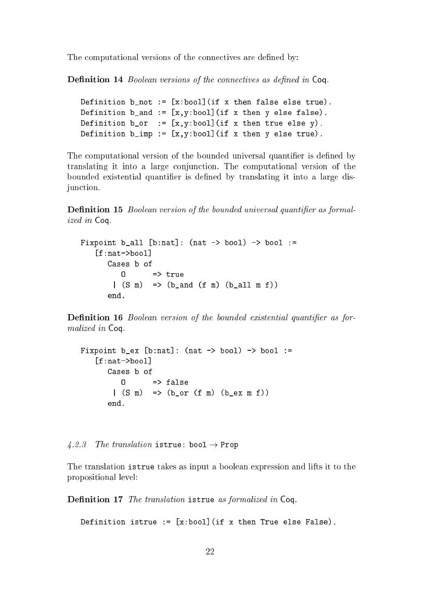The computational versions of the connectives are defined by:

Definition 14 *Boolean versions of the connectives as defined in* Coq.

```
Definition b_not := [x:bool](if x then false else true).
Definition b_and := [x, y:bool] (if x then y else false).
Definition b_0r := [x,y:bool] (if x then true else y).
Definition b_imp := [x, y:bool] (if x then y else true).
```
The computational version of the bounded universal quantifier is defined by translating it into a large conjunction. The computational version of the bounded existential quantifier is defined by translating it into a large disiunction.

**Definition 15** Boolean version of the bounded universal quantifier as formalized in Coq.

```
Fixpoint b_all [b:nat]: (nat \rightarrow bool) \rightarrow bool :=
    [f:nat->bool]\blacksquareCases b of
           \Omega|(S \t m) => (b and (f m) (b all m f))
       end.
```
**Definition 16** Boolean version of the bounded existential quantifier as formalized in Coq.

```
Fixpoint b<sub>-</sub>ex [b:nat]: (nat \rightarrow bool) \rightarrow bool :=
    [f:nat->bool]Cases b of
            \Omega\Rightarrow false
          |(S \t m) => (b_or (f m) (b_ex m f))
```
4.2.3 The translation istrue: bool  $\rightarrow$  Prop

The translation istrue takes as input a boolean expression and lifts it to the propositional level:

Definition 17 The translation istrue as formalized in Coq.

```
Definition istrue := [x:bool] (if x then True else False).
```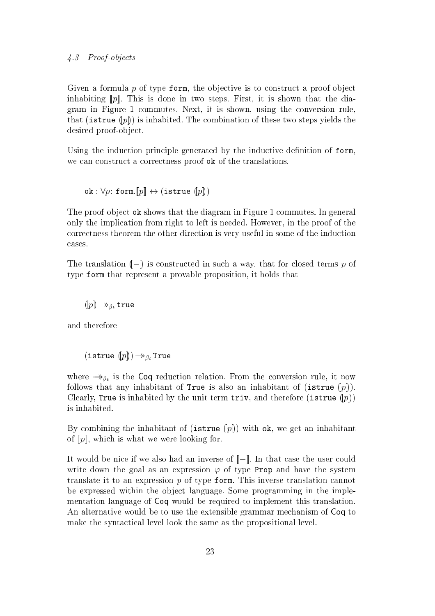Given a formula  $p$  of type form, the objective is to construct a proof-object inhabiting  $[p]$ . This is done in two steps. First, it is shown that the diagram in Figure 1 ommutes. Next, it is shown, using the onversion rule, that (is true  $(p)$ ) is inhabited. The combination of these two steps yields the desired proof-object.

Using the induction principle generated by the inductive definition of form, we can construct a correctness proof ok of the translations.

ok :  $\forall p$ : form. $[ p ] \leftrightarrow$  (istrue  $([ p ] )$ )

The proof-object ok shows that the diagram in Figure 1 commutes. In general only the impli
ation from right to left is needed. However, in the proof of the orre
tness theorem the other dire
tion is very useful in some of the indu
tion ases.

The translation  $(-)$  is constructed in such a way, that for closed terms p of type form that represent a provable proposition, it holds that

 $(p) \rightarrow_{\beta_t} \text{true}$ 

and therefore

(istrue  $(p)$ )  $\rightarrow$   $_{\beta}$  True

where  $\rightarrow_{\beta_i}$  is the Coq reduction relation. From the conversion rule, it now follows that any inhabitant of True is also an inhabitant of (istrue  $(p\|)$ ). Clearly, True is inhabited by the unit term triv, and therefore (istrue  $(p)$ ) is inhabited.

By combining the inhabitant of (istrue  $(p_0)$ ) with ok, we get an inhabitant of  $[p]$ , which is what we were looking for.

It would be nice if we also had an inverse of  $\llbracket - \rrbracket$ . In that case the user could write down the goal as an expression  $\varphi$  of type Prop and have the system translate it to an expression  $p$  of type form. This inverse translation cannot be expressed within the object language. Some programming in the implementation language of Coq would be required to implement this translation. An alternative would be to use the extensible grammar me
hanism of Coq to make the syntactical level look the same as the propositional level.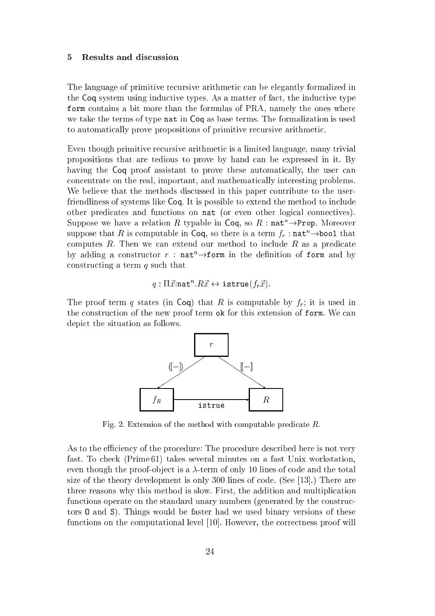#### Results and discussion 5

The language of primitive re
ursive arithmeti an be elegantly formalized in the Coq system using inductive types. As a matter of fact, the inductive type form ontains a bit more than the formulas of PRA, namely the ones where we take the terms of type nat in Coq as base terms. The formalization is used to automatically prove propositions of primitive recursive arithmetic.

Even though primitive recursive arithmetic is a limited language, many trivial propositions that are tedious to prove by hand an be expressed in it. By having the Coq proof assistant to prove these automatically, the user can on
entrate on the real, important, and mathemati
ally interesting problems. We believe that the methods discussed in this paper contribute to the userfriendliness of systems like Coq. It is possible to extend the method to in
lude other predicates and functions on nat (or even other logical connectives). Suppose we have a relation R typable in Coq, so R :  $\texttt{nat}^n \rightarrow \texttt{Prop}$ . Moreover suppose that R is computable in Coq, so there is a term  $f_r$ : nat<sup>n</sup> $\rightarrow$ bool that computes  $R$ . Then we can extend our method to include  $R$  as a predicate by adding a constructor r:  $nat^n \rightarrow form$  in the definition of form and by constructing a term  $q$  such that

$$
q: \Pi \vec{x} : \text{nat}^n \cdot R \vec{x} \leftrightarrow \text{istrue}(f_r \vec{x}).
$$

The proof term q states (in Coq) that R is computable by  $f<sub>r</sub>$ ; it is used in the construction of the new proof term ok for this extension of form. We can depi
t the situation as follows.



Fig. 2. Extension of the method with computable predicate  $R$ .

As to the efficiency of the procedure: The procedure described here is not very fast. To he
k (Prime 61) takes several minutes on a fast Unix workstation, even though the proof-object is a  $\lambda$ -term of only 10 lines of code and the total size of the theory development is only  $300$  lines of code. (See [13].) There are three reasons why this method is slow. First, the addition and multipli
ation functions operate on the standard unary numbers (generated by the constructors O and S). Things would be faster had we used binary versions of these functions on the computational level [10]. However, the correctness proof will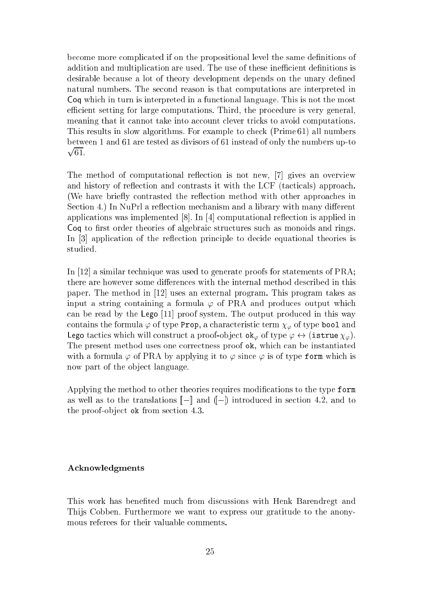be
ome more ompli
ated if on the propositional level the same denitions of addition and multiplication are used. The use of these inefficient definitions is desirable because a lot of theory development depends on the unary defined natural numbers. The se
ond reason is that omputations are interpreted in Coq which in turn is interpreted in a functional language. This is not the most efficient setting for large computations. Third, the procedure is very general, meaning that it cannot take into account clever tricks to avoid computations. This results in slow algorithms. For example to he
k (Prime 61) all numbers provided a series of the control of between 1 and 61 are tested as divisors of 61 instead of only the numbers up-to

The method of computational reflection is not new, [7] gives an overview and history of reflection and contrasts it with the LCF (tacticals) approach. (We have briefly contrasted the reflection method with other approaches in Section 4.) In NuPrl a reflection mechanism and a library with many different applications was implemented  $[8]$ . In  $[4]$  computational reflection is applied in Coq to first order theories of algebraic structures such as monoids and rings. In [3] application of the reflection principle to decide equational theories is studied.

In [12] a similar technique was used to generate proofs for statements of  $PRA$ ; there are however some differences with the internal method described in this paper. The method in  $[12]$  uses an external program. This program takes as input a string containing a formula  $\varphi$  of PRA and produces output which can be read by the Lego  $[11]$  proof system. The output produced in this way contains the formula  $\varphi$  of type Prop, a characteristic term  $\chi_{\varphi}$  of type bool and Lego tactics which will construct a proof-object  $\mathbf{ok}_{\varphi}$  of type  $\varphi \leftrightarrow (\mathbf{istrue} \chi_{\varphi})$ . The present method uses one orre
tness proof ok, whi
h an be instantiated with a formula  $\varphi$  of PRA by applying it to  $\varphi$  since  $\varphi$  is of type form which is now part of the object language.

Applying the method to other theories requires modifications to the type form as well as to the translations  $\llbracket - \rrbracket$  and  $\llbracket - \rrbracket$  introduced in section 4.2, and to the proof-object ok from section 4.3.

### A
knowledgments

This work has benefited much from discussions with Henk Barendregt and Thijs Cobben. Furthermore we want to express our gratitude to the anonymous referees for their valuable omments.